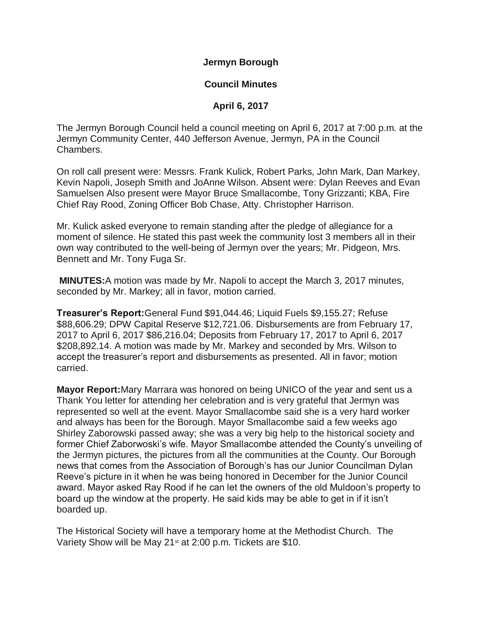**Jermyn Borough**

## **Council Minutes**

## **April 6, 2017**

The Jermyn Borough Council held a council meeting on April 6, 2017 at 7:00 p.m. at the Jermyn Community Center, 440 Jefferson Avenue, Jermyn, PA in the Council Chambers.

On roll call present were: Messrs. Frank Kulick, Robert Parks, John Mark, Dan Markey, Kevin Napoli, Joseph Smith and JoAnne Wilson. Absent were: Dylan Reeves and Evan Samuelsen Also present were Mayor Bruce Smallacombe, Tony Grizzanti; KBA, Fire Chief Ray Rood, Zoning Officer Bob Chase, Atty. Christopher Harrison.

Mr. Kulick asked everyone to remain standing after the pledge of allegiance for a moment of silence. He stated this past week the community lost 3 members all in their own way contributed to the well-being of Jermyn over the years; Mr. Pidgeon, Mrs. Bennett and Mr. Tony Fuga Sr.

**MINUTES:**A motion was made by Mr. Napoli to accept the March 3, 2017 minutes, seconded by Mr. Markey; all in favor, motion carried.

**Treasurer's Report:**General Fund \$91,044.46; Liquid Fuels \$9,155.27; Refuse \$88,606.29; DPW Capital Reserve \$12,721.06. Disbursements are from February 17, 2017 to April 6, 2017 \$86,216.04; Deposits from February 17, 2017 to April 6, 2017 \$208,892.14. A motion was made by Mr. Markey and seconded by Mrs. Wilson to accept the treasurer's report and disbursements as presented. All in favor; motion carried.

**Mayor Report:**Mary Marrara was honored on being UNICO of the year and sent us a Thank You letter for attending her celebration and is very grateful that Jermyn was represented so well at the event. Mayor Smallacombe said she is a very hard worker and always has been for the Borough. Mayor Smallacombe said a few weeks ago Shirley Zaborowski passed away; she was a very big help to the historical society and former Chief Zaborwoski's wife. Mayor Smallacombe attended the County's unveiling of the Jermyn pictures, the pictures from all the communities at the County. Our Borough news that comes from the Association of Borough's has our Junior Councilman Dylan Reeve's picture in it when he was being honored in December for the Junior Council award. Mayor asked Ray Rood if he can let the owners of the old Muldoon's property to board up the window at the property. He said kids may be able to get in if it isn't boarded up.

The Historical Society will have a temporary home at the Methodist Church. The Variety Show will be May 21<sup>st</sup> at 2:00 p.m. Tickets are \$10.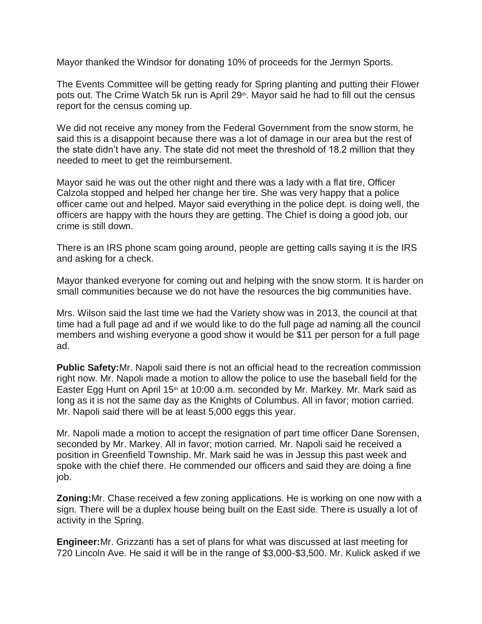Mayor thanked the Windsor for donating 10% of proceeds for the Jermyn Sports.

The Events Committee will be getting ready for Spring planting and putting their Flower pots out. The Crime Watch 5k run is April 29<sup>th</sup>. Mayor said he had to fill out the census report for the census coming up.

We did not receive any money from the Federal Government from the snow storm, he said this is a disappoint because there was a lot of damage in our area but the rest of the state didn't have any. The state did not meet the threshold of 18.2 million that they needed to meet to get the reimbursement.

Mayor said he was out the other night and there was a lady with a flat tire, Officer Calzola stopped and helped her change her tire. She was very happy that a police officer came out and helped. Mayor said everything in the police dept. is doing well, the officers are happy with the hours they are getting. The Chief is doing a good job, our crime is still down.

There is an IRS phone scam going around, people are getting calls saying it is the IRS and asking for a check.

Mayor thanked everyone for coming out and helping with the snow storm. It is harder on small communities because we do not have the resources the big communities have.

Mrs. Wilson said the last time we had the Variety show was in 2013, the council at that time had a full page ad and if we would like to do the full page ad naming all the council members and wishing everyone a good show it would be \$11 per person for a full page ad.

**Public Safety:**Mr. Napoli said there is not an official head to the recreation commission right now. Mr. Napoli made a motion to allow the police to use the baseball field for the Easter Egg Hunt on April  $15<sup>th</sup>$  at 10:00 a.m. seconded by Mr. Markey. Mr. Mark said as long as it is not the same day as the Knights of Columbus. All in favor; motion carried. Mr. Napoli said there will be at least 5,000 eggs this year.

Mr. Napoli made a motion to accept the resignation of part time officer Dane Sorensen, seconded by Mr. Markey. All in favor; motion carried. Mr. Napoli said he received a position in Greenfield Township. Mr. Mark said he was in Jessup this past week and spoke with the chief there. He commended our officers and said they are doing a fine job.

**Zoning:**Mr. Chase received a few zoning applications. He is working on one now with a sign. There will be a duplex house being built on the East side. There is usually a lot of activity in the Spring.

**Engineer:**Mr. Grizzanti has a set of plans for what was discussed at last meeting for 720 Lincoln Ave. He said it will be in the range of \$3,000-\$3,500. Mr. Kulick asked if we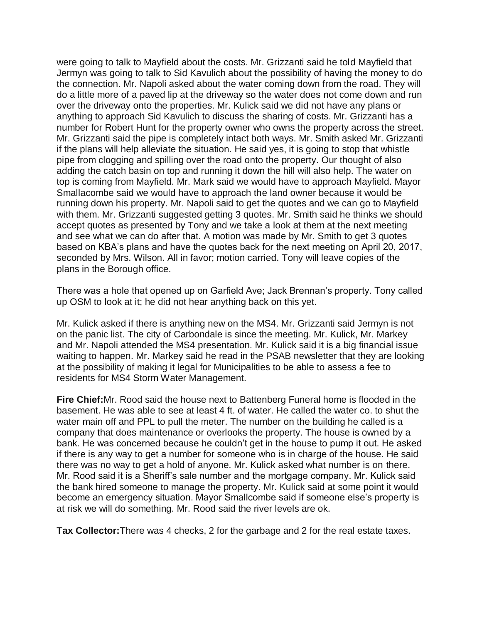were going to talk to Mayfield about the costs. Mr. Grizzanti said he told Mayfield that Jermyn was going to talk to Sid Kavulich about the possibility of having the money to do the connection. Mr. Napoli asked about the water coming down from the road. They will do a little more of a paved lip at the driveway so the water does not come down and run over the driveway onto the properties. Mr. Kulick said we did not have any plans or anything to approach Sid Kavulich to discuss the sharing of costs. Mr. Grizzanti has a number for Robert Hunt for the property owner who owns the property across the street. Mr. Grizzanti said the pipe is completely intact both ways. Mr. Smith asked Mr. Grizzanti if the plans will help alleviate the situation. He said yes, it is going to stop that whistle pipe from clogging and spilling over the road onto the property. Our thought of also adding the catch basin on top and running it down the hill will also help. The water on top is coming from Mayfield. Mr. Mark said we would have to approach Mayfield. Mayor Smallacombe said we would have to approach the land owner because it would be running down his property. Mr. Napoli said to get the quotes and we can go to Mayfield with them. Mr. Grizzanti suggested getting 3 quotes. Mr. Smith said he thinks we should accept quotes as presented by Tony and we take a look at them at the next meeting and see what we can do after that. A motion was made by Mr. Smith to get 3 quotes based on KBA's plans and have the quotes back for the next meeting on April 20, 2017, seconded by Mrs. Wilson. All in favor; motion carried. Tony will leave copies of the plans in the Borough office.

There was a hole that opened up on Garfield Ave; Jack Brennan's property. Tony called up OSM to look at it; he did not hear anything back on this yet.

Mr. Kulick asked if there is anything new on the MS4. Mr. Grizzanti said Jermyn is not on the panic list. The city of Carbondale is since the meeting. Mr. Kulick, Mr. Markey and Mr. Napoli attended the MS4 presentation. Mr. Kulick said it is a big financial issue waiting to happen. Mr. Markey said he read in the PSAB newsletter that they are looking at the possibility of making it legal for Municipalities to be able to assess a fee to residents for MS4 Storm Water Management.

**Fire Chief:**Mr. Rood said the house next to Battenberg Funeral home is flooded in the basement. He was able to see at least 4 ft. of water. He called the water co. to shut the water main off and PPL to pull the meter. The number on the building he called is a company that does maintenance or overlooks the property. The house is owned by a bank. He was concerned because he couldn't get in the house to pump it out. He asked if there is any way to get a number for someone who is in charge of the house. He said there was no way to get a hold of anyone. Mr. Kulick asked what number is on there. Mr. Rood said it is a Sheriff's sale number and the mortgage company. Mr. Kulick said the bank hired someone to manage the property. Mr. Kulick said at some point it would become an emergency situation. Mayor Smallcombe said if someone else's property is at risk we will do something. Mr. Rood said the river levels are ok.

**Tax Collector:**There was 4 checks, 2 for the garbage and 2 for the real estate taxes.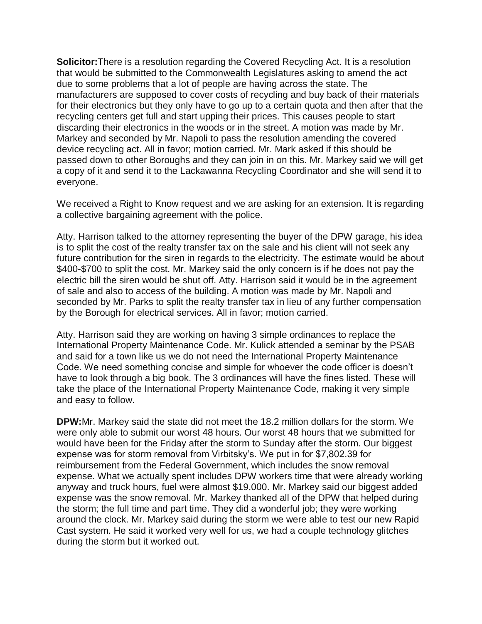**Solicitor:**There is a resolution regarding the Covered Recycling Act. It is a resolution that would be submitted to the Commonwealth Legislatures asking to amend the act due to some problems that a lot of people are having across the state. The manufacturers are supposed to cover costs of recycling and buy back of their materials for their electronics but they only have to go up to a certain quota and then after that the recycling centers get full and start upping their prices. This causes people to start discarding their electronics in the woods or in the street. A motion was made by Mr. Markey and seconded by Mr. Napoli to pass the resolution amending the covered device recycling act. All in favor; motion carried. Mr. Mark asked if this should be passed down to other Boroughs and they can join in on this. Mr. Markey said we will get a copy of it and send it to the Lackawanna Recycling Coordinator and she will send it to everyone.

We received a Right to Know request and we are asking for an extension. It is regarding a collective bargaining agreement with the police.

Atty. Harrison talked to the attorney representing the buyer of the DPW garage, his idea is to split the cost of the realty transfer tax on the sale and his client will not seek any future contribution for the siren in regards to the electricity. The estimate would be about \$400-\$700 to split the cost. Mr. Markey said the only concern is if he does not pay the electric bill the siren would be shut off. Atty. Harrison said it would be in the agreement of sale and also to access of the building. A motion was made by Mr. Napoli and seconded by Mr. Parks to split the realty transfer tax in lieu of any further compensation by the Borough for electrical services. All in favor; motion carried.

Atty. Harrison said they are working on having 3 simple ordinances to replace the International Property Maintenance Code. Mr. Kulick attended a seminar by the PSAB and said for a town like us we do not need the International Property Maintenance Code. We need something concise and simple for whoever the code officer is doesn't have to look through a big book. The 3 ordinances will have the fines listed. These will take the place of the International Property Maintenance Code, making it very simple and easy to follow.

**DPW:**Mr. Markey said the state did not meet the 18.2 million dollars for the storm. We were only able to submit our worst 48 hours. Our worst 48 hours that we submitted for would have been for the Friday after the storm to Sunday after the storm. Our biggest expense was for storm removal from Virbitsky's. We put in for \$7,802.39 for reimbursement from the Federal Government, which includes the snow removal expense. What we actually spent includes DPW workers time that were already working anyway and truck hours, fuel were almost \$19,000. Mr. Markey said our biggest added expense was the snow removal. Mr. Markey thanked all of the DPW that helped during the storm; the full time and part time. They did a wonderful job; they were working around the clock. Mr. Markey said during the storm we were able to test our new Rapid Cast system. He said it worked very well for us, we had a couple technology glitches during the storm but it worked out.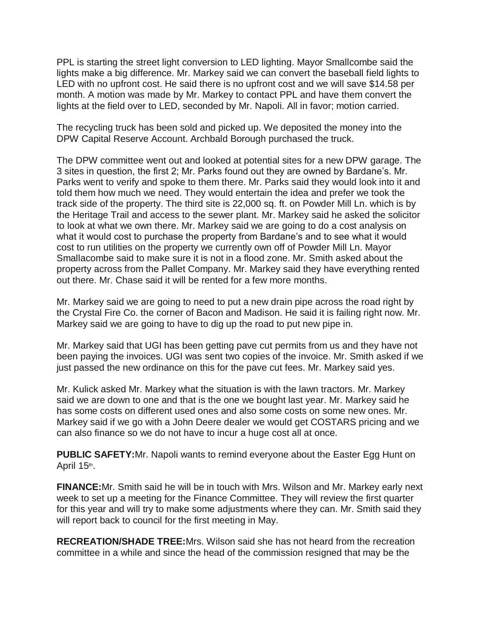PPL is starting the street light conversion to LED lighting. Mayor Smallcombe said the lights make a big difference. Mr. Markey said we can convert the baseball field lights to LED with no upfront cost. He said there is no upfront cost and we will save \$14.58 per month. A motion was made by Mr. Markey to contact PPL and have them convert the lights at the field over to LED, seconded by Mr. Napoli. All in favor; motion carried.

The recycling truck has been sold and picked up. We deposited the money into the DPW Capital Reserve Account. Archbald Borough purchased the truck.

The DPW committee went out and looked at potential sites for a new DPW garage. The 3 sites in question, the first 2; Mr. Parks found out they are owned by Bardane's. Mr. Parks went to verify and spoke to them there. Mr. Parks said they would look into it and told them how much we need. They would entertain the idea and prefer we took the track side of the property. The third site is 22,000 sq. ft. on Powder Mill Ln. which is by the Heritage Trail and access to the sewer plant. Mr. Markey said he asked the solicitor to look at what we own there. Mr. Markey said we are going to do a cost analysis on what it would cost to purchase the property from Bardane's and to see what it would cost to run utilities on the property we currently own off of Powder Mill Ln. Mayor Smallacombe said to make sure it is not in a flood zone. Mr. Smith asked about the property across from the Pallet Company. Mr. Markey said they have everything rented out there. Mr. Chase said it will be rented for a few more months.

Mr. Markey said we are going to need to put a new drain pipe across the road right by the Crystal Fire Co. the corner of Bacon and Madison. He said it is failing right now. Mr. Markey said we are going to have to dig up the road to put new pipe in.

Mr. Markey said that UGI has been getting pave cut permits from us and they have not been paying the invoices. UGI was sent two copies of the invoice. Mr. Smith asked if we just passed the new ordinance on this for the pave cut fees. Mr. Markey said yes.

Mr. Kulick asked Mr. Markey what the situation is with the lawn tractors. Mr. Markey said we are down to one and that is the one we bought last year. Mr. Markey said he has some costs on different used ones and also some costs on some new ones. Mr. Markey said if we go with a John Deere dealer we would get COSTARS pricing and we can also finance so we do not have to incur a huge cost all at once.

**PUBLIC SAFETY:**Mr. Napoli wants to remind everyone about the Easter Egg Hunt on April 15th.

**FINANCE:**Mr. Smith said he will be in touch with Mrs. Wilson and Mr. Markey early next week to set up a meeting for the Finance Committee. They will review the first quarter for this year and will try to make some adjustments where they can. Mr. Smith said they will report back to council for the first meeting in May.

**RECREATION/SHADE TREE:**Mrs. Wilson said she has not heard from the recreation committee in a while and since the head of the commission resigned that may be the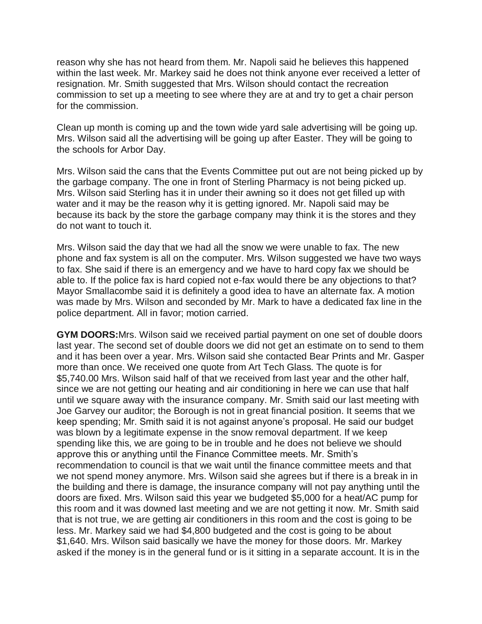reason why she has not heard from them. Mr. Napoli said he believes this happened within the last week. Mr. Markey said he does not think anyone ever received a letter of resignation. Mr. Smith suggested that Mrs. Wilson should contact the recreation commission to set up a meeting to see where they are at and try to get a chair person for the commission.

Clean up month is coming up and the town wide yard sale advertising will be going up. Mrs. Wilson said all the advertising will be going up after Easter. They will be going to the schools for Arbor Day.

Mrs. Wilson said the cans that the Events Committee put out are not being picked up by the garbage company. The one in front of Sterling Pharmacy is not being picked up. Mrs. Wilson said Sterling has it in under their awning so it does not get filled up with water and it may be the reason why it is getting ignored. Mr. Napoli said may be because its back by the store the garbage company may think it is the stores and they do not want to touch it.

Mrs. Wilson said the day that we had all the snow we were unable to fax. The new phone and fax system is all on the computer. Mrs. Wilson suggested we have two ways to fax. She said if there is an emergency and we have to hard copy fax we should be able to. If the police fax is hard copied not e-fax would there be any objections to that? Mayor Smallacombe said it is definitely a good idea to have an alternate fax. A motion was made by Mrs. Wilson and seconded by Mr. Mark to have a dedicated fax line in the police department. All in favor; motion carried.

**GYM DOORS:**Mrs. Wilson said we received partial payment on one set of double doors last year. The second set of double doors we did not get an estimate on to send to them and it has been over a year. Mrs. Wilson said she contacted Bear Prints and Mr. Gasper more than once. We received one quote from Art Tech Glass. The quote is for \$5,740.00 Mrs. Wilson said half of that we received from last year and the other half, since we are not getting our heating and air conditioning in here we can use that half until we square away with the insurance company. Mr. Smith said our last meeting with Joe Garvey our auditor; the Borough is not in great financial position. It seems that we keep spending; Mr. Smith said it is not against anyone's proposal. He said our budget was blown by a legitimate expense in the snow removal department. If we keep spending like this, we are going to be in trouble and he does not believe we should approve this or anything until the Finance Committee meets. Mr. Smith's recommendation to council is that we wait until the finance committee meets and that we not spend money anymore. Mrs. Wilson said she agrees but if there is a break in in the building and there is damage, the insurance company will not pay anything until the doors are fixed. Mrs. Wilson said this year we budgeted \$5,000 for a heat/AC pump for this room and it was downed last meeting and we are not getting it now. Mr. Smith said that is not true, we are getting air conditioners in this room and the cost is going to be less. Mr. Markey said we had \$4,800 budgeted and the cost is going to be about \$1,640. Mrs. Wilson said basically we have the money for those doors. Mr. Markey asked if the money is in the general fund or is it sitting in a separate account. It is in the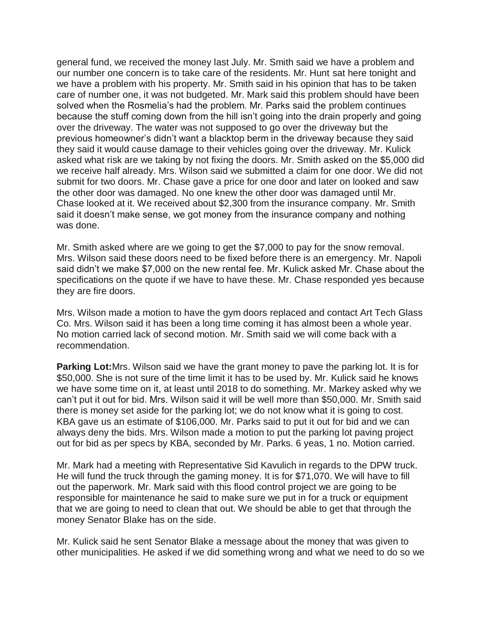general fund, we received the money last July. Mr. Smith said we have a problem and our number one concern is to take care of the residents. Mr. Hunt sat here tonight and we have a problem with his property. Mr. Smith said in his opinion that has to be taken care of number one, it was not budgeted. Mr. Mark said this problem should have been solved when the Rosmelia's had the problem. Mr. Parks said the problem continues because the stuff coming down from the hill isn't going into the drain properly and going over the driveway. The water was not supposed to go over the driveway but the previous homeowner's didn't want a blacktop berm in the driveway because they said they said it would cause damage to their vehicles going over the driveway. Mr. Kulick asked what risk are we taking by not fixing the doors. Mr. Smith asked on the \$5,000 did we receive half already. Mrs. Wilson said we submitted a claim for one door. We did not submit for two doors. Mr. Chase gave a price for one door and later on looked and saw the other door was damaged. No one knew the other door was damaged until Mr. Chase looked at it. We received about \$2,300 from the insurance company. Mr. Smith said it doesn't make sense, we got money from the insurance company and nothing was done.

Mr. Smith asked where are we going to get the \$7,000 to pay for the snow removal. Mrs. Wilson said these doors need to be fixed before there is an emergency. Mr. Napoli said didn't we make \$7,000 on the new rental fee. Mr. Kulick asked Mr. Chase about the specifications on the quote if we have to have these. Mr. Chase responded yes because they are fire doors.

Mrs. Wilson made a motion to have the gym doors replaced and contact Art Tech Glass Co. Mrs. Wilson said it has been a long time coming it has almost been a whole year. No motion carried lack of second motion. Mr. Smith said we will come back with a recommendation.

**Parking Lot:**Mrs. Wilson said we have the grant money to pave the parking lot. It is for \$50,000. She is not sure of the time limit it has to be used by. Mr. Kulick said he knows we have some time on it, at least until 2018 to do something. Mr. Markey asked why we can't put it out for bid. Mrs. Wilson said it will be well more than \$50,000. Mr. Smith said there is money set aside for the parking lot; we do not know what it is going to cost. KBA gave us an estimate of \$106,000. Mr. Parks said to put it out for bid and we can always deny the bids. Mrs. Wilson made a motion to put the parking lot paving project out for bid as per specs by KBA, seconded by Mr. Parks. 6 yeas, 1 no. Motion carried.

Mr. Mark had a meeting with Representative Sid Kavulich in regards to the DPW truck. He will fund the truck through the gaming money. It is for \$71,070. We will have to fill out the paperwork. Mr. Mark said with this flood control project we are going to be responsible for maintenance he said to make sure we put in for a truck or equipment that we are going to need to clean that out. We should be able to get that through the money Senator Blake has on the side.

Mr. Kulick said he sent Senator Blake a message about the money that was given to other municipalities. He asked if we did something wrong and what we need to do so we